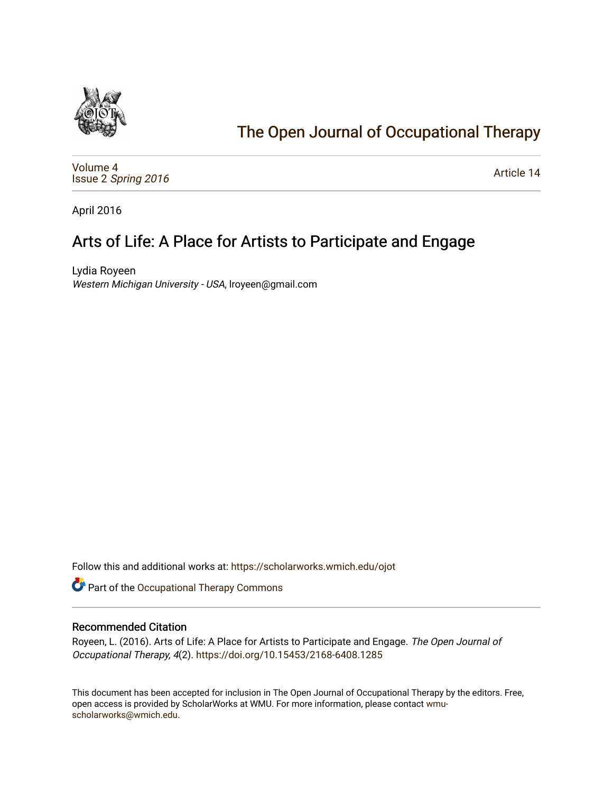

# [The Open Journal of Occupational Therapy](https://scholarworks.wmich.edu/ojot)

[Volume 4](https://scholarworks.wmich.edu/ojot/vol4) Issue 2 [Spring 2016](https://scholarworks.wmich.edu/ojot/vol4/iss2) 

[Article 14](https://scholarworks.wmich.edu/ojot/vol4/iss2/14) 

April 2016

# Arts of Life: A Place for Artists to Participate and Engage

Lydia Royeen Western Michigan University - USA, lroyeen@gmail.com

Follow this and additional works at: [https://scholarworks.wmich.edu/ojot](https://scholarworks.wmich.edu/ojot?utm_source=scholarworks.wmich.edu%2Fojot%2Fvol4%2Fiss2%2F14&utm_medium=PDF&utm_campaign=PDFCoverPages)

Part of the [Occupational Therapy Commons](http://network.bepress.com/hgg/discipline/752?utm_source=scholarworks.wmich.edu%2Fojot%2Fvol4%2Fiss2%2F14&utm_medium=PDF&utm_campaign=PDFCoverPages) 

### Recommended Citation

Royeen, L. (2016). Arts of Life: A Place for Artists to Participate and Engage. The Open Journal of Occupational Therapy, 4(2). <https://doi.org/10.15453/2168-6408.1285>

This document has been accepted for inclusion in The Open Journal of Occupational Therapy by the editors. Free, open access is provided by ScholarWorks at WMU. For more information, please contact [wmu](mailto:wmu-scholarworks@wmich.edu)[scholarworks@wmich.edu.](mailto:wmu-scholarworks@wmich.edu)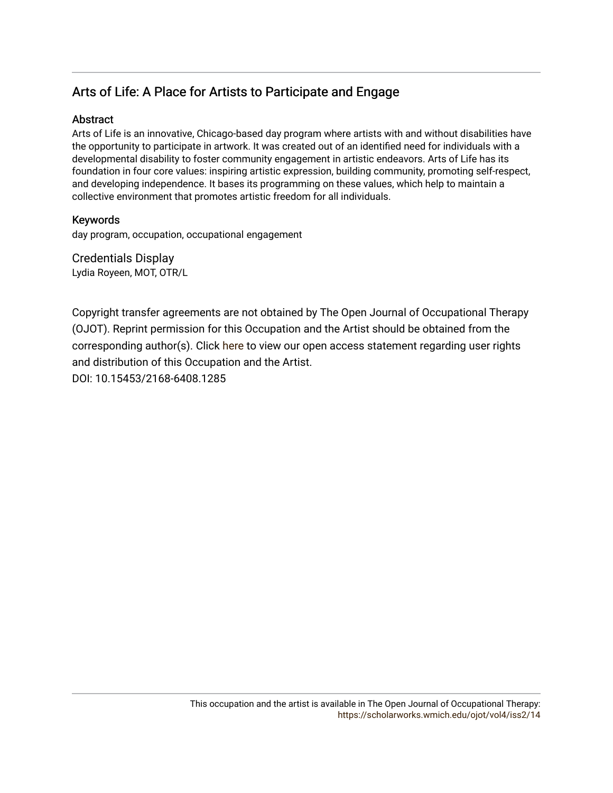## Arts of Life: A Place for Artists to Participate and Engage

## Abstract

Arts of Life is an innovative, Chicago-based day program where artists with and without disabilities have the opportunity to participate in artwork. It was created out of an identified need for individuals with a developmental disability to foster community engagement in artistic endeavors. Arts of Life has its foundation in four core values: inspiring artistic expression, building community, promoting self-respect, and developing independence. It bases its programming on these values, which help to maintain a collective environment that promotes artistic freedom for all individuals.

## Keywords

day program, occupation, occupational engagement

Credentials Display Lydia Royeen, MOT, OTR/L

Copyright transfer agreements are not obtained by The Open Journal of Occupational Therapy (OJOT). Reprint permission for this Occupation and the Artist should be obtained from the corresponding author(s). Click [here](https://scholarworks.wmich.edu/ojot/policies.html#rights) to view our open access statement regarding user rights and distribution of this Occupation and the Artist. DOI: 10.15453/2168-6408.1285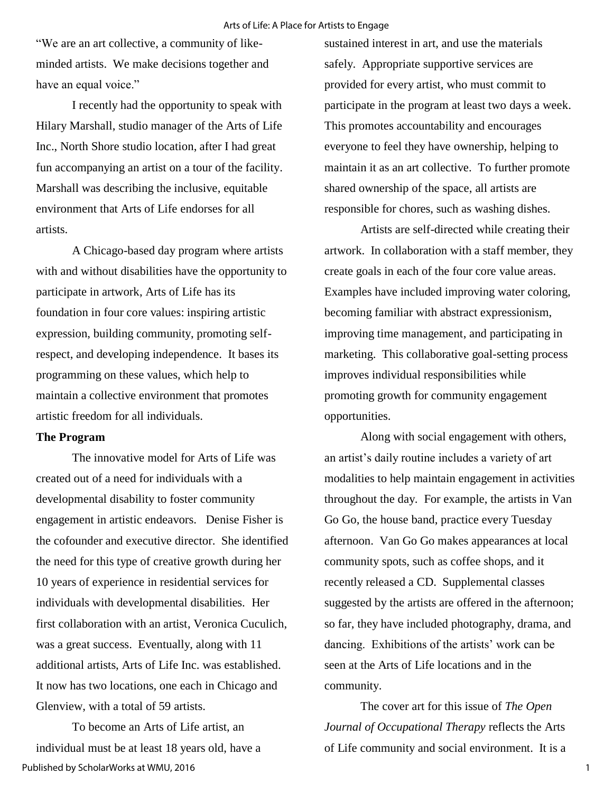"We are an art collective, a community of likeminded artists. We make decisions together and have an equal voice."

 I recently had the opportunity to speak with Hilary Marshall, studio manager of the Arts of Life Inc., North Shore studio location, after I had great fun accompanying an artist on a tour of the facility. Marshall was describing the inclusive, equitable environment that Arts of Life endorses for all artists.

A Chicago-based day program where artists with and without disabilities have the opportunity to participate in artwork, Arts of Life has its foundation in four core values: inspiring artistic expression, building community, promoting selfrespect, and developing independence. It bases its programming on these values, which help to maintain a collective environment that promotes artistic freedom for all individuals.

#### **The Program**

The innovative model for Arts of Life was created out of a need for individuals with a developmental disability to foster community engagement in artistic endeavors. Denise Fisher is the cofounder and executive director. She identified the need for this type of creative growth during her 10 years of experience in residential services for individuals with developmental disabilities. Her first collaboration with an artist, Veronica Cuculich, was a great success. Eventually, along with 11 additional artists, Arts of Life Inc. was established. It now has two locations, one each in Chicago and Glenview, with a total of 59 artists.

To become an Arts of Life artist, an individual must be at least 18 years old, have a Published by ScholarWorks at WMU, 2016

sustained interest in art, and use the materials safely. Appropriate supportive services are provided for every artist, who must commit to participate in the program at least two days a week. This promotes accountability and encourages everyone to feel they have ownership, helping to maintain it as an art collective. To further promote shared ownership of the space, all artists are responsible for chores, such as washing dishes.

Artists are self-directed while creating their artwork. In collaboration with a staff member, they create goals in each of the four core value areas. Examples have included improving water coloring, becoming familiar with abstract expressionism, improving time management, and participating in marketing. This collaborative goal-setting process improves individual responsibilities while promoting growth for community engagement opportunities.

Along with social engagement with others, an artist's daily routine includes a variety of art modalities to help maintain engagement in activities throughout the day. For example, the artists in Van Go Go, the house band, practice every Tuesday afternoon. Van Go Go makes appearances at local community spots, such as coffee shops, and it recently released a CD. Supplemental classes suggested by the artists are offered in the afternoon; so far, they have included photography, drama, and dancing. Exhibitions of the artists' work can be seen at the Arts of Life locations and in the community.

The cover art for this issue of *The Open Journal of Occupational Therapy* reflects the Arts of Life community and social environment. It is a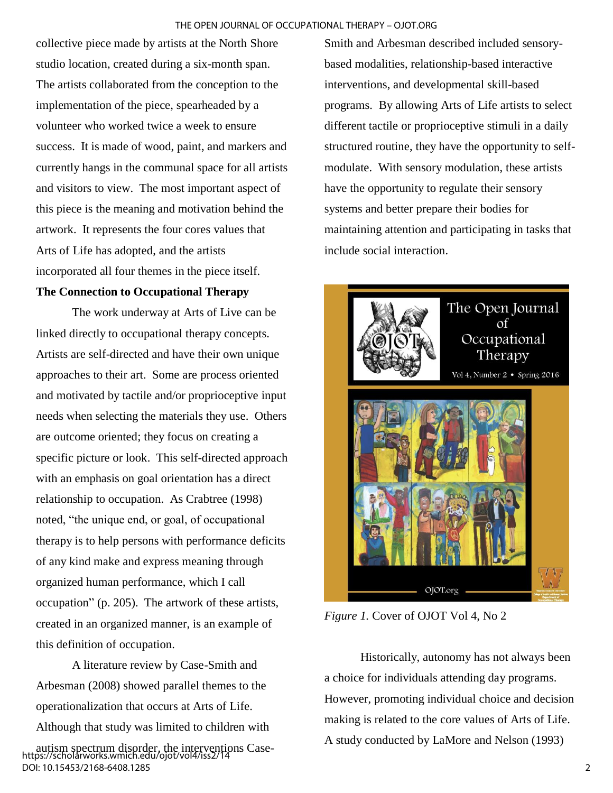collective piece made by artists at the North Shore studio location, created during a six-month span. The artists collaborated from the conception to the implementation of the piece, spearheaded by a volunteer who worked twice a week to ensure success. It is made of wood, paint, and markers and currently hangs in the communal space for all artists and visitors to view. The most important aspect of this piece is the meaning and motivation behind the artwork. It represents the four cores values that Arts of Life has adopted, and the artists incorporated all four themes in the piece itself.

### **The Connection to Occupational Therapy**

The work underway at Arts of Live can be linked directly to occupational therapy concepts. Artists are self-directed and have their own unique approaches to their art. Some are process oriented and motivated by tactile and/or proprioceptive input needs when selecting the materials they use. Others are outcome oriented; they focus on creating a specific picture or look. This self-directed approach with an emphasis on goal orientation has a direct relationship to occupation. As Crabtree (1998) noted, "the unique end, or goal, of occupational therapy is to help persons with performance deficits of any kind make and express meaning through organized human performance, which I call occupation" (p. 205). The artwork of these artists, created in an organized manner, is an example of this definition of occupation.

A literature review by Case-Smith and Arbesman (2008) showed parallel themes to the operationalization that occurs at Arts of Life. Although that study was limited to children with autism spectrum disorder, the interventions Case-https://scholarworks.wmich.edu/ojot/vol4/iss2/14 DOI: 10.15453/2168-6408.1285

Smith and Arbesman described included sensorybased modalities, relationship-based interactive interventions, and developmental skill-based programs. By allowing Arts of Life artists to select different tactile or proprioceptive stimuli in a daily structured routine, they have the opportunity to selfmodulate. With sensory modulation, these artists have the opportunity to regulate their sensory systems and better prepare their bodies for maintaining attention and participating in tasks that include social interaction.



*Figure 1.* Cover of OJOT Vol 4, No 2

Historically, autonomy has not always been a choice for individuals attending day programs. However, promoting individual choice and decision making is related to the core values of Arts of Life. A study conducted by LaMore and Nelson (1993)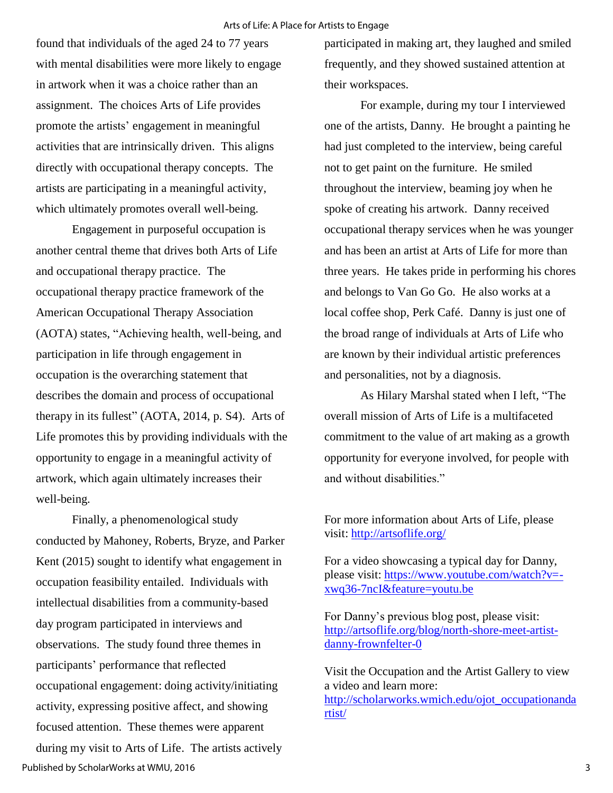found that individuals of the aged 24 to 77 years with mental disabilities were more likely to engage in artwork when it was a choice rather than an assignment. The choices Arts of Life provides promote the artists' engagement in meaningful activities that are intrinsically driven. This aligns directly with occupational therapy concepts. The artists are participating in a meaningful activity, which ultimately promotes overall well-being.

Engagement in purposeful occupation is another central theme that drives both Arts of Life and occupational therapy practice. The occupational therapy practice framework of the American Occupational Therapy Association (AOTA) states, "Achieving health, well-being, and participation in life through engagement in occupation is the overarching statement that describes the domain and process of occupational therapy in its fullest" (AOTA, 2014, p. S4). Arts of Life promotes this by providing individuals with the opportunity to engage in a meaningful activity of artwork, which again ultimately increases their well-being.

Finally, a phenomenological study conducted by Mahoney, Roberts, Bryze, and Parker Kent (2015) sought to identify what engagement in occupation feasibility entailed. Individuals with intellectual disabilities from a community-based day program participated in interviews and observations. The study found three themes in participants' performance that reflected occupational engagement: doing activity/initiating activity, expressing positive affect, and showing focused attention. These themes were apparent during my visit to Arts of Life. The artists actively Published by ScholarWorks at WMU, 2016

participated in making art, they laughed and smiled frequently, and they showed sustained attention at their workspaces.

For example, during my tour I interviewed one of the artists, Danny. He brought a painting he had just completed to the interview, being careful not to get paint on the furniture. He smiled throughout the interview, beaming joy when he spoke of creating his artwork. Danny received occupational therapy services when he was younger and has been an artist at Arts of Life for more than three years. He takes pride in performing his chores and belongs to Van Go Go. He also works at a local coffee shop, Perk Café. Danny is just one of the broad range of individuals at Arts of Life who are known by their individual artistic preferences and personalities, not by a diagnosis.

As Hilary Marshal stated when I left, "The overall mission of Arts of Life is a multifaceted commitment to the value of art making as a growth opportunity for everyone involved, for people with and without disabilities."

For more information about Arts of Life, please visit:<http://artsoflife.org/>

For a video showcasing a typical day for Danny, please visit: [https://www.youtube.com/watch?v=](https://www.youtube.com/watch?v=-xwq36-7ncI&feature=youtu.be) [xwq36-7ncI&feature=youtu.be](https://www.youtube.com/watch?v=-xwq36-7ncI&feature=youtu.be)

For Danny's previous blog post, please visit: [http://artsoflife.org/blog/north-shore-meet-artist](http://artsoflife.org/blog/north-shore-meet-artist-danny-frownfelter-0)[danny-frownfelter-0](http://artsoflife.org/blog/north-shore-meet-artist-danny-frownfelter-0)

Visit the Occupation and the Artist Gallery to view a video and learn more: [http://scholarworks.wmich.edu/ojot\\_occupationanda](http://scholarworks.wmich.edu/ojot_occupationandartist/) [rtist/](http://scholarworks.wmich.edu/ojot_occupationandartist/)